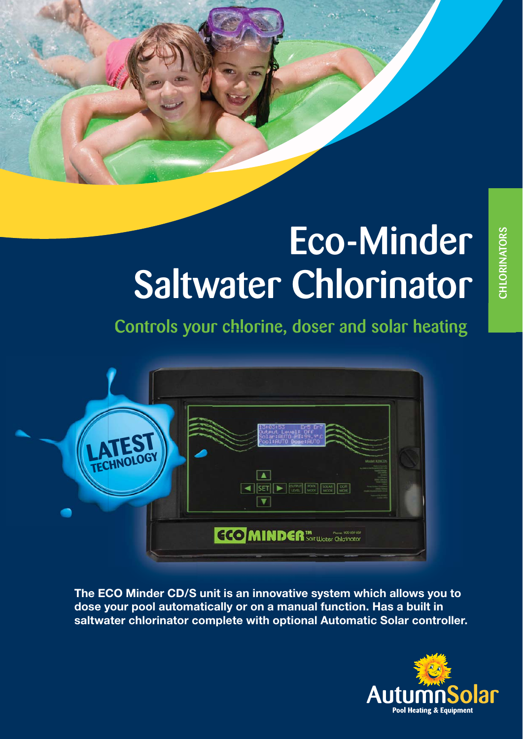# Eco-Minder Saltwater Chlorinator

Controls your chlorine, doser and solar heating



The ECO Minder CD/S unit is an innovative system which allows you to **dose your pool automatically or on a manual function. Has a built in saltwater chlorinator complete with optional Automatic Solar controller.**